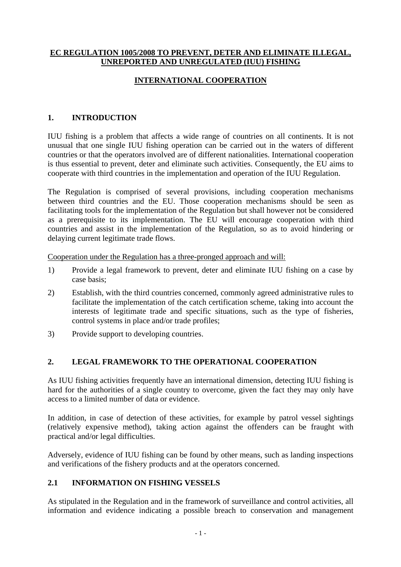### **EC REGULATION 1005/2008 TO PREVENT, DETER AND ELIMINATE ILLEGAL, UNREPORTED AND UNREGULATED (IUU) FISHING**

# **INTERNATIONAL COOPERATION**

## **1. INTRODUCTION**

IUU fishing is a problem that affects a wide range of countries on all continents. It is not unusual that one single IUU fishing operation can be carried out in the waters of different countries or that the operators involved are of different nationalities. International cooperation is thus essential to prevent, deter and eliminate such activities. Consequently, the EU aims to cooperate with third countries in the implementation and operation of the IUU Regulation.

The Regulation is comprised of several provisions, including cooperation mechanisms between third countries and the EU. Those cooperation mechanisms should be seen as facilitating tools for the implementation of the Regulation but shall however not be considered as a prerequisite to its implementation. The EU will encourage cooperation with third countries and assist in the implementation of the Regulation, so as to avoid hindering or delaying current legitimate trade flows.

Cooperation under the Regulation has a three-pronged approach and will:

- 1) Provide a legal framework to prevent, deter and eliminate IUU fishing on a case by case basis;
- 2) Establish, with the third countries concerned, commonly agreed administrative rules to facilitate the implementation of the catch certification scheme, taking into account the interests of legitimate trade and specific situations, such as the type of fisheries, control systems in place and/or trade profiles;
- 3) Provide support to developing countries.

## **2. LEGAL FRAMEWORK TO THE OPERATIONAL COOPERATION**

As IUU fishing activities frequently have an international dimension, detecting IUU fishing is hard for the authorities of a single country to overcome, given the fact they may only have access to a limited number of data or evidence.

In addition, in case of detection of these activities, for example by patrol vessel sightings (relatively expensive method), taking action against the offenders can be fraught with practical and/or legal difficulties.

Adversely, evidence of IUU fishing can be found by other means, such as landing inspections and verifications of the fishery products and at the operators concerned.

### **2.1 INFORMATION ON FISHING VESSELS**

As stipulated in the Regulation and in the framework of surveillance and control activities, all information and evidence indicating a possible breach to conservation and management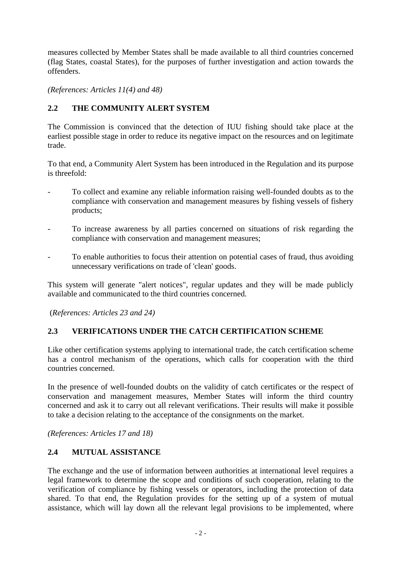measures collected by Member States shall be made available to all third countries concerned (flag States, coastal States), for the purposes of further investigation and action towards the offenders.

*(References: Articles 11(4) and 48)* 

## **2.2 THE COMMUNITY ALERT SYSTEM**

The Commission is convinced that the detection of IUU fishing should take place at the earliest possible stage in order to reduce its negative impact on the resources and on legitimate trade.

To that end, a Community Alert System has been introduced in the Regulation and its purpose is threefold:

- To collect and examine any reliable information raising well-founded doubts as to the compliance with conservation and management measures by fishing vessels of fishery products;
- To increase awareness by all parties concerned on situations of risk regarding the compliance with conservation and management measures;
- To enable authorities to focus their attention on potential cases of fraud, thus avoiding unnecessary verifications on trade of 'clean' goods.

This system will generate "alert notices", regular updates and they will be made publicly available and communicated to the third countries concerned.

(*References: Articles 23 and 24)*

#### **2.3 VERIFICATIONS UNDER THE CATCH CERTIFICATION SCHEME**

Like other certification systems applying to international trade, the catch certification scheme has a control mechanism of the operations, which calls for cooperation with the third countries concerned.

In the presence of well-founded doubts on the validity of catch certificates or the respect of conservation and management measures, Member States will inform the third country concerned and ask it to carry out all relevant verifications. Their results will make it possible to take a decision relating to the acceptance of the consignments on the market.

*(References: Articles 17 and 18)* 

#### **2.4 MUTUAL ASSISTANCE**

The exchange and the use of information between authorities at international level requires a legal framework to determine the scope and conditions of such cooperation, relating to the verification of compliance by fishing vessels or operators, including the protection of data shared. To that end, the Regulation provides for the setting up of a system of mutual assistance, which will lay down all the relevant legal provisions to be implemented, where